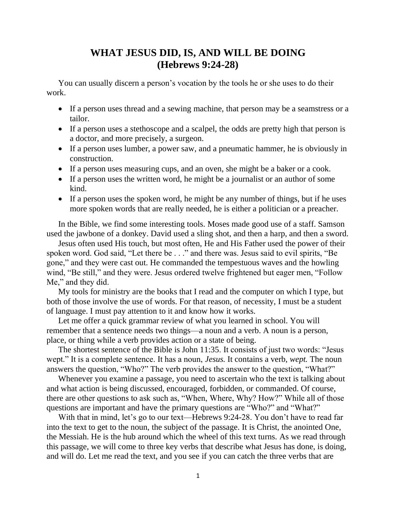## **WHAT JESUS DID, IS, AND WILL BE DOING (Hebrews 9:24-28)**

You can usually discern a person's vocation by the tools he or she uses to do their work.

- If a person uses thread and a sewing machine, that person may be a seamstress or a tailor.
- If a person uses a stethoscope and a scalpel, the odds are pretty high that person is a doctor, and more precisely, a surgeon.
- If a person uses lumber, a power saw, and a pneumatic hammer, he is obviously in construction.
- If a person uses measuring cups, and an oven, she might be a baker or a cook.
- If a person uses the written word, he might be a journalist or an author of some kind.
- If a person uses the spoken word, he might be any number of things, but if he uses more spoken words that are really needed, he is either a politician or a preacher.

In the Bible, we find some interesting tools. Moses made good use of a staff. Samson used the jawbone of a donkey. David used a sling shot, and then a harp, and then a sword.

Jesus often used His touch, but most often, He and His Father used the power of their spoken word. God said, "Let there be . . ." and there was. Jesus said to evil spirits, "Be gone," and they were cast out. He commanded the tempestuous waves and the howling wind, "Be still," and they were. Jesus ordered twelve frightened but eager men, "Follow Me," and they did.

My tools for ministry are the books that I read and the computer on which I type, but both of those involve the use of words. For that reason, of necessity, I must be a student of language. I must pay attention to it and know how it works.

Let me offer a quick grammar review of what you learned in school. You will remember that a sentence needs two things—a noun and a verb. A noun is a person, place, or thing while a verb provides action or a state of being.

The shortest sentence of the Bible is John 11:35. It consists of just two words: "Jesus wept." It is a complete sentence. It has a noun, *Jesus.* It contains a verb, *wept.* The noun answers the question, "Who?" The verb provides the answer to the question, "What?"

Whenever you examine a passage, you need to ascertain who the text is talking about and what action is being discussed, encouraged, forbidden, or commanded. Of course, there are other questions to ask such as, "When, Where, Why? How?" While all of those questions are important and have the primary questions are "Who?" and "What?"

With that in mind, let's go to our text—Hebrews 9:24-28. You don't have to read far into the text to get to the noun, the subject of the passage. It is Christ, the anointed One, the Messiah. He is the hub around which the wheel of this text turns. As we read through this passage, we will come to three key verbs that describe what Jesus has done, is doing, and will do. Let me read the text, and you see if you can catch the three verbs that are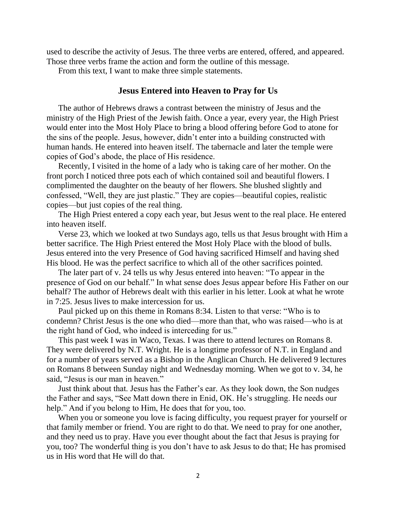used to describe the activity of Jesus. The three verbs are entered, offered, and appeared. Those three verbs frame the action and form the outline of this message.

From this text, I want to make three simple statements.

## **Jesus Entered into Heaven to Pray for Us**

The author of Hebrews draws a contrast between the ministry of Jesus and the ministry of the High Priest of the Jewish faith. Once a year, every year, the High Priest would enter into the Most Holy Place to bring a blood offering before God to atone for the sins of the people. Jesus, however, didn't enter into a building constructed with human hands. He entered into heaven itself. The tabernacle and later the temple were copies of God's abode, the place of His residence.

Recently, I visited in the home of a lady who is taking care of her mother. On the front porch I noticed three pots each of which contained soil and beautiful flowers. I complimented the daughter on the beauty of her flowers. She blushed slightly and confessed, "Well, they are just plastic." They are copies—beautiful copies, realistic copies—but just copies of the real thing.

The High Priest entered a copy each year, but Jesus went to the real place. He entered into heaven itself.

Verse 23, which we looked at two Sundays ago, tells us that Jesus brought with Him a better sacrifice. The High Priest entered the Most Holy Place with the blood of bulls. Jesus entered into the very Presence of God having sacrificed Himself and having shed His blood. He was the perfect sacrifice to which all of the other sacrifices pointed.

The later part of v. 24 tells us why Jesus entered into heaven: "To appear in the presence of God on our behalf." In what sense does Jesus appear before His Father on our behalf? The author of Hebrews dealt with this earlier in his letter. Look at what he wrote in 7:25. Jesus lives to make intercession for us.

Paul picked up on this theme in Romans 8:34. Listen to that verse: "Who is to condemn? Christ Jesus is the one who died—more than that, who was raised—who is at the right hand of God, who indeed is interceding for us."

This past week I was in Waco, Texas. I was there to attend lectures on Romans 8. They were delivered by N.T. Wright. He is a longtime professor of N.T. in England and for a number of years served as a Bishop in the Anglican Church. He delivered 9 lectures on Romans 8 between Sunday night and Wednesday morning. When we got to v. 34, he said, "Jesus is our man in heaven."

Just think about that. Jesus has the Father's ear. As they look down, the Son nudges the Father and says, "See Matt down there in Enid, OK. He's struggling. He needs our help." And if you belong to Him, He does that for you, too.

When you or someone you love is facing difficulty, you request prayer for yourself or that family member or friend. You are right to do that. We need to pray for one another, and they need us to pray. Have you ever thought about the fact that Jesus is praying for you, too? The wonderful thing is you don't have to ask Jesus to do that; He has promised us in His word that He will do that.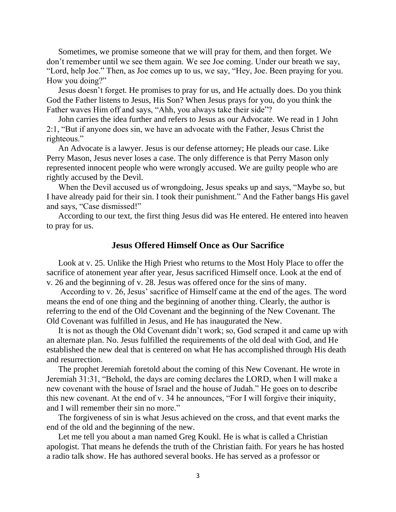Sometimes, we promise someone that we will pray for them, and then forget. We don't remember until we see them again. We see Joe coming. Under our breath we say, "Lord, help Joe." Then, as Joe comes up to us, we say, "Hey, Joe. Been praying for you. How you doing?"

Jesus doesn't forget. He promises to pray for us, and He actually does. Do you think God the Father listens to Jesus, His Son? When Jesus prays for you, do you think the Father waves Him off and says, "Ahh, you always take their side"?

John carries the idea further and refers to Jesus as our Advocate. We read in 1 John 2:1, "But if anyone does sin, we have an advocate with the Father, Jesus Christ the righteous."

An Advocate is a lawyer. Jesus is our defense attorney; He pleads our case. Like Perry Mason, Jesus never loses a case. The only difference is that Perry Mason only represented innocent people who were wrongly accused. We are guilty people who are rightly accused by the Devil.

When the Devil accused us of wrongdoing, Jesus speaks up and says, "Maybe so, but I have already paid for their sin. I took their punishment." And the Father bangs His gavel and says, "Case dismissed!"

According to our text, the first thing Jesus did was He entered. He entered into heaven to pray for us.

## **Jesus Offered Himself Once as Our Sacrifice**

Look at v. 25. Unlike the High Priest who returns to the Most Holy Place to offer the sacrifice of atonement year after year, Jesus sacrificed Himself once. Look at the end of v. 26 and the beginning of v. 28. Jesus was offered once for the sins of many.

According to v. 26, Jesus' sacrifice of Himself came at the end of the ages. The word means the end of one thing and the beginning of another thing. Clearly, the author is referring to the end of the Old Covenant and the beginning of the New Covenant. The Old Covenant was fulfilled in Jesus, and He has inaugurated the New.

It is not as though the Old Covenant didn't work; so, God scraped it and came up with an alternate plan. No. Jesus fulfilled the requirements of the old deal with God, and He established the new deal that is centered on what He has accomplished through His death and resurrection.

The prophet Jeremiah foretold about the coming of this New Covenant. He wrote in Jeremiah 31:31, "Behold, the days are coming declares the LORD, when I will make a new covenant with the house of Israel and the house of Judah." He goes on to describe this new covenant. At the end of v. 34 he announces, "For I will forgive their iniquity, and I will remember their sin no more."

The forgiveness of sin is what Jesus achieved on the cross, and that event marks the end of the old and the beginning of the new.

Let me tell you about a man named Greg Koukl. He is what is called a Christian apologist. That means he defends the truth of the Christian faith. For years he has hosted a radio talk show. He has authored several books. He has served as a professor or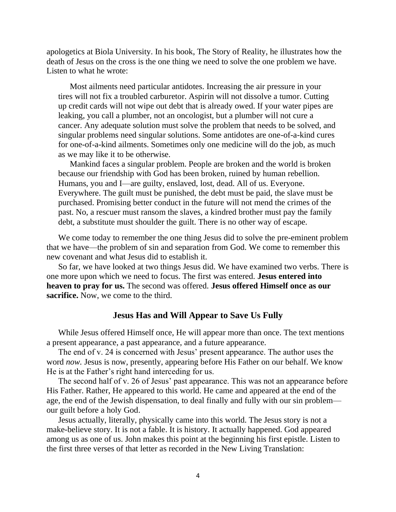apologetics at Biola University. In his book, The Story of Reality, he illustrates how the death of Jesus on the cross is the one thing we need to solve the one problem we have. Listen to what he wrote:

Most ailments need particular antidotes. Increasing the air pressure in your tires will not fix a troubled carburetor. Aspirin will not dissolve a tumor. Cutting up credit cards will not wipe out debt that is already owed. If your water pipes are leaking, you call a plumber, not an oncologist, but a plumber will not cure a cancer. Any adequate solution must solve the problem that needs to be solved, and singular problems need singular solutions. Some antidotes are one-of-a-kind cures for one-of-a-kind ailments. Sometimes only one medicine will do the job, as much as we may like it to be otherwise.

Mankind faces a singular problem. People are broken and the world is broken because our friendship with God has been broken, ruined by human rebellion. Humans, you and I—are guilty, enslaved, lost, dead. All of us. Everyone. Everywhere. The guilt must be punished, the debt must be paid, the slave must be purchased. Promising better conduct in the future will not mend the crimes of the past. No, a rescuer must ransom the slaves, a kindred brother must pay the family debt, a substitute must shoulder the guilt. There is no other way of escape.

We come today to remember the one thing Jesus did to solve the pre-eminent problem that we have—the problem of sin and separation from God. We come to remember this new covenant and what Jesus did to establish it.

So far, we have looked at two things Jesus did. We have examined two verbs. There is one more upon which we need to focus. The first was entered. **Jesus entered into heaven to pray for us.** The second was offered. **Jesus offered Himself once as our sacrifice.** Now, we come to the third.

## **Jesus Has and Will Appear to Save Us Fully**

While Jesus offered Himself once, He will appear more than once. The text mentions a present appearance, a past appearance, and a future appearance.

The end of v. 24 is concerned with Jesus' present appearance. The author uses the word *now.* Jesus is now, presently, appearing before His Father on our behalf. We know He is at the Father's right hand interceding for us.

The second half of v. 26 of Jesus' past appearance. This was not an appearance before His Father. Rather, He appeared to this world. He came and appeared at the end of the age, the end of the Jewish dispensation, to deal finally and fully with our sin problem our guilt before a holy God.

Jesus actually, literally, physically came into this world. The Jesus story is not a make-believe story. It is not a fable. It is history. It actually happened. God appeared among us as one of us. John makes this point at the beginning his first epistle. Listen to the first three verses of that letter as recorded in the New Living Translation: